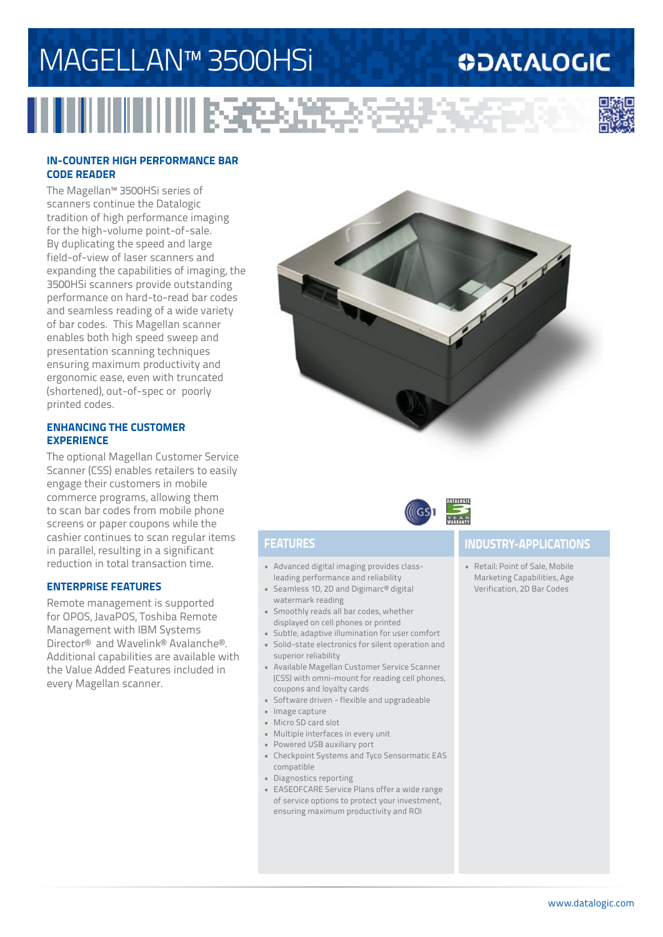# MAGELLAN™ 3500HSi

### **ODATALOGIC**



#### **IN-COUNTER HIGH PERFORMANCE BAR CODE READER**

The Magellan™ 3500HSi series of scanners continue the Datalogic tradition of high performance imaging for the high-volume point-of-sale. By duplicating the speed and large field-of-view of laser scanners and expanding the capabilities of imaging, the 3500HSi scanners provide outstanding performance on hard-to-read bar codes and seamless reading of a wide variety of bar codes. This Magellan scanner enables both high speed sweep and presentation scanning techniques ensuring maximum productivity and ergonomic ease, even with truncated (shortened), out-of-spec or poorly printed codes.

#### **ENHANCING THE CUSTOMER EXPERIENCE**

The optional Magellan Customer Service Scanner (CSS) enables retailers to easily engage their customers in mobile commerce programs, allowing them to scan bar codes from mobile phone screens or paper coupons while the cashier continues to scan regular items in parallel, resulting in a significant reduction in total transaction time.

### **ENTERPRISE FEATURES**

Remote management is supported for OPOS, JavaPOS, Toshiba Remote Management with IBM Systems Director® and Wavelink® Avalanche®. Additional capabilities are available with the Value Added Features included in every Magellan scanner.





医经济学

- Advanced digital imaging provides classleading performance and reliability
- Seamless 1D, 2D and Digimarc® digital watermark reading
- Smoothly reads all bar codes, whether displayed on cell phones or printed
- Subtle, adaptive illumination for user comfort • Solid-state electronics for silent operation and superior reliability
- Available Magellan Customer Service Scanner (CSS) with omni-mount for reading cell phones, coupons and loyalty cards
- Software driven flexible and upgradeable
- Image capture
- Micro SD card slot
- Multiple interfaces in every unit
- Powered USB auxiliary port
- Checkpoint Systems and Tyco Sensormatic EAS compatible
- Diagnostics reporting
- EASEOFCARE Service Plans offer a wide range of service options to protect your investment, ensuring maximum productivity and ROI

### **FEATURES INDUSTRY-APPLICATIONS**

• Retail: Point of Sale, Mobile Marketing Capabilities, Age Verification, 2D Bar Codes